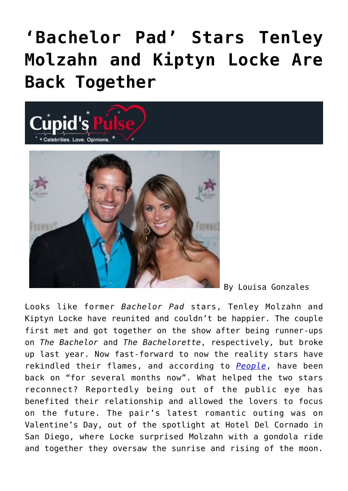## **['Bachelor Pad' Stars Tenley](https://cupidspulse.com/70949/bachelor-pad-stars-tenley-molzahn-and-kiptyn-locke-are-back-together/) [Molzahn and Kiptyn Locke Are](https://cupidspulse.com/70949/bachelor-pad-stars-tenley-molzahn-and-kiptyn-locke-are-back-together/) [Back Together](https://cupidspulse.com/70949/bachelor-pad-stars-tenley-molzahn-and-kiptyn-locke-are-back-together/)**



By Louisa Gonzales

Looks like former *Bachelor Pad* stars, Tenley Molzahn and Kiptyn Locke have reunited and couldn't be happier. The couple first met and got together on the show after being runner-ups on *The Bachelor* and *The Bachelorette*, respectively, but broke up last year. Now fast-forward to now the reality stars have rekindled their flames, and according to *[People](http://www.people.com/people/article/0,,20790208,00.html)*, have been back on "for several months now". What helped the two stars reconnect? Reportedly being out of the public eye has benefited their relationship and allowed the lovers to focus on the future. The pair's latest romantic outing was on Valentine's Day, out of the spotlight at Hotel Del Cornado in San Diego, where Locke surprised Molzahn with a gondola ride and together they oversaw the sunrise and rising of the moon.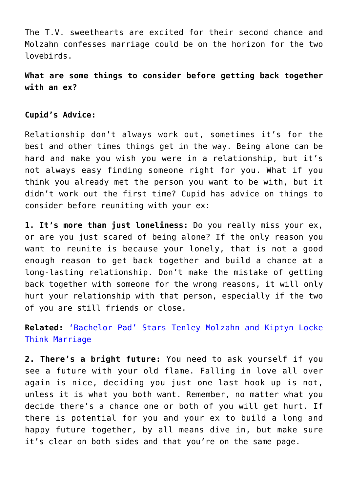The T.V. sweethearts are excited for their second chance and Molzahn confesses marriage could be on the horizon for the two lovebirds.

**What are some things to consider before getting back together with an ex?**

## **Cupid's Advice:**

Relationship don't always work out, sometimes it's for the best and other times things get in the way. Being alone can be hard and make you wish you were in a relationship, but it's not always easy finding someone right for you. What if you think you already met the person you want to be with, but it didn't work out the first time? Cupid has advice on things to consider before reuniting with your ex:

**1. It's more than just loneliness:** Do you really miss your ex, or are you just scared of being alone? If the only reason you want to reunite is because your lonely, that is not a good enough reason to get back together and build a chance at a long-lasting relationship. Don't make the mistake of getting back together with someone for the wrong reasons, it will only hurt your relationship with that person, especially if the two of you are still friends or close.

## **Related:** ['Bachelor Pad' Stars Tenley Molzahn and Kiptyn Locke](http://cupidspulse.com/bachelor-pad-stars-tenley-kiptyn-think-marriage/) [Think Marriage](http://cupidspulse.com/bachelor-pad-stars-tenley-kiptyn-think-marriage/)

**2. There's a bright future:** You need to ask yourself if you see a future with your old flame. Falling in love all over again is nice, deciding you just one last hook up is not, unless it is what you both want. Remember, no matter what you decide there's a chance one or both of you will get hurt. If there is potential for you and your ex to build a long and happy future together, by all means dive in, but make sure it's clear on both sides and that you're on the same page.